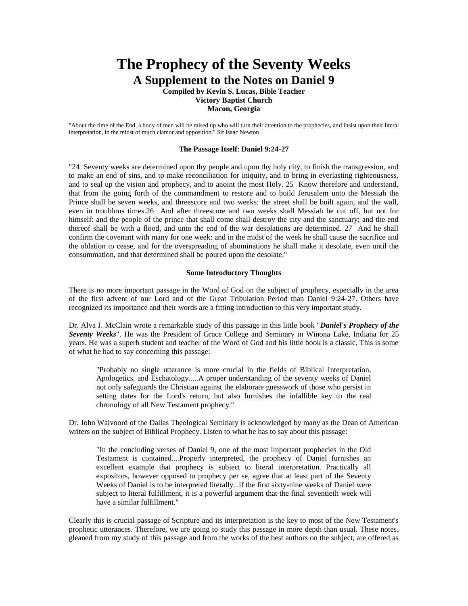# **The Prophecy of the Seventy Weeks A Supplement to the Notes on Daniel 9**

**Compiled by Kevin S. Lucas, Bible Teacher Victory Baptist Church Macon, Georgia**

"About the time of the End, a body of men will be raised up who will turn their attention to the prophecies, and insist upon their literal interpretation, in the midst of much clamor and opposition." Sir Isaac Newton

#### **The Passage Itself**: **Daniel 9:24-27**

"24 Seventy weeks are determined upon thy people and upon thy holy city, to finish the transgression, and to make an end of sins, and to make reconciliation for iniquity, and to bring in everlasting righteousness, and to seal up the vision and prophecy, and to anoint the most Holy. 25 Know therefore and understand, that from the going forth of the commandment to restore and to build Jerusalem unto the Messiah the Prince shall be seven weeks, and threescore and two weeks: the street shall be built again, and the wall, even in troublous times.26 And after threescore and two weeks shall Messiah be cut off, but not for himself: and the people of the prince that shall come shall destroy the city and the sanctuary; and the end thereof shall be with a flood, and unto the end of the war desolations are determined. 27 And he shall confirm the covenant with many for one week: and in the midst of the week he shall cause the sacrifice and the oblation to cease, and for the overspreading of abominations he shall make it desolate, even until the consummation, and that determined shall be poured upon the desolate."

## **Some Introductory Thoughts**

There is no more important passage in the Word of God on the subject of prophecy, especially in the area of the first advent of our Lord and of the Great Tribulation Period than Daniel 9:24-27. Others have recognized its importance and their words are a fitting introduction to this very important study.

Dr. Alva J. McClain wrote a remarkable study of this passage in this little book "*Daniel's Prophecy of the Seventy Weeks*". He was the President of Grace College and Seminary in Winona Lake, Indiana for 25 years. He was a superb student and teacher of the Word of God and his little book is a classic. This is some of what he had to say concerning this passage:

"Probably no single utterance is more crucial in the fields of Biblical Interpretation, Apologetics, and Eschatology.....A proper understanding of the seventy weeks of Daniel not only safeguards the Christian against the elaborate guesswork of those who persist in setting dates for the Lord's return, but also furnishes the infallible key to the real chronology of all New Testament prophecy."

Dr. John Walvoord of the Dallas Theological Seminary is acknowledged by many as the Dean of American writers on the subject of Biblical Prophecy. Listen to what he has to say about this passage:

"In the concluding verses of Daniel 9, one of the most important prophecies in the Old Testament is contained....Properly interpreted, the prophecy of Daniel furnishes an excellent example that prophecy is subject to literal interpretation. Practically all expositors, however opposed to prophecy per se, agree that at least part of the Seventy Weeks of Daniel is to be interpreted literally...if the first sixty-nine weeks of Daniel were subject to literal fulfillment, it is a powerful argument that the final seventieth week will have a similar fulfillment."

Clearly this is crucial passage of Scripture and its interpretation is the key to most of the New Testament's prophetic utterances. Therefore, we are going to study this passage in more depth than usual. These notes, gleaned from my study of this passage and from the works of the best authors on the subject, are offered as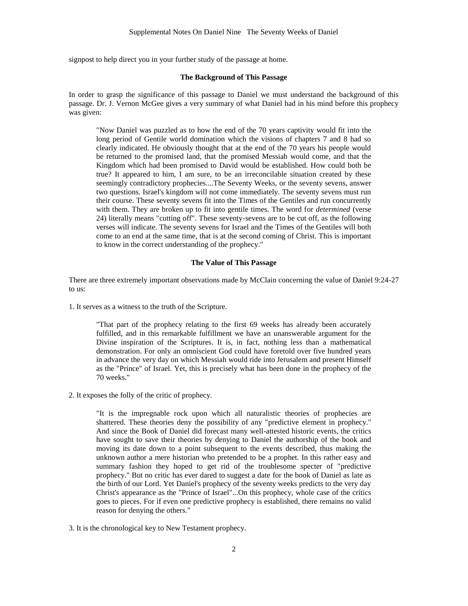signpost to help direct you in your further study of the passage at home.

## **The Background of This Passage**

In order to grasp the significance of this passage to Daniel we must understand the background of this passage. Dr. J. Vernon McGee gives a very summary of what Daniel had in his mind before this prophecy was given:

"Now Daniel was puzzled as to how the end of the 70 years captivity would fit into the long period of Gentile world domination which the visions of chapters 7 and 8 had so clearly indicated. He obviously thought that at the end of the 70 years his people would be returned to the promised land, that the promised Messiah would come, and that the Kingdom which had been promised to David would be established. How could both be true? It appeared to him, I am sure, to be an irreconcilable situation created by these seemingly contradictory prophecies....The Seventy Weeks, or the seventy sevens, answer two questions. Israel's kingdom will not come immediately. The seventy sevens must run their course. These seventy sevens fit into the Times of the Gentiles and run concurrently with them. They are broken up to fit into gentile times. The word for *determined* (verse 24) literally means "cutting off". These seventy-sevens are to be cut off, as the following verses will indicate. The seventy sevens for Israel and the Times of the Gentiles will both come to an end at the same time, that is at the second coming of Christ. This is important to know in the correct understanding of the prophecy."

### **The Value of This Passage**

There are three extremely important observations made by McClain concerning the value of Daniel 9:24-27 to us:

1. It serves as a witness to the truth of the Scripture.

"That part of the prophecy relating to the first 69 weeks has already been accurately fulfilled, and in this remarkable fulfillment we have an unanswerable argument for the Divine inspiration of the Scriptures. It is, in fact, nothing less than a mathematical demonstration. For only an omniscient God could have foretold over five hundred years in advance the very day on which Messiah would ride into Jerusalem and present Himself as the "Prince" of Israel. Yet, this is precisely what has been done in the prophecy of the 70 weeks."

2. It exposes the folly of the critic of prophecy.

"It is the impregnable rock upon which all naturalistic theories of prophecies are shattered. These theories deny the possibility of any "predictive element in prophecy." And since the Book of Daniel did forecast many well-attested historic events, the critics have sought to save their theories by denying to Daniel the authorship of the book and moving its date down to a point subsequent to the events described, thus making the unknown author a mere historian who pretended to be a prophet. In this rather easy and summary fashion they hoped to get rid of the troublesome specter of "predictive prophecy." But no critic has ever dared to suggest a date for the book of Daniel as late as the birth of our Lord. Yet Daniel's prophecy of the seventy weeks predicts to the very day Christ's appearance as the "Prince of Israel"...On this prophecy, whole case of the critics goes to pieces. For if even one predictive prophecy is established, there remains no valid reason for denying the others."

3. It is the chronological key to New Testament prophecy.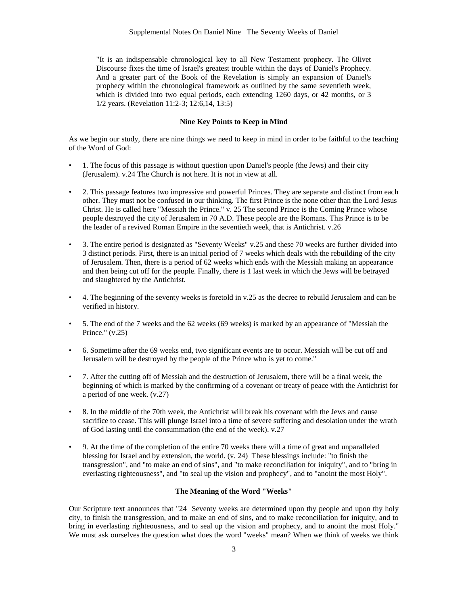"It is an indispensable chronological key to all New Testament prophecy. The Olivet Discourse fixes the time of Israel's greatest trouble within the days of Daniel's Prophecy. And a greater part of the Book of the Revelation is simply an expansion of Daniel's prophecy within the chronological framework as outlined by the same seventieth week, which is divided into two equal periods, each extending 1260 days, or 42 months, or 3 1/2 years. (Revelation 11:2-3; 12:6,14, 13:5)

# **Nine Key Points to Keep in Mind**

As we begin our study, there are nine things we need to keep in mind in order to be faithful to the teaching of the Word of God:

- 1. The focus of this passage is without question upon Daniel's people (the Jews) and their city (Jerusalem). v.24 The Church is not here. It is not in view at all.
- 2. This passage features two impressive and powerful Princes. They are separate and distinct from each other. They must not be confused in our thinking. The first Prince is the none other than the Lord Jesus Christ. He is called here "Messiah the Prince." v. 25 The second Prince is the Coming Prince whose people destroyed the city of Jerusalem in 70 A.D. These people are the Romans. This Prince is to be the leader of a revived Roman Empire in the seventieth week, that is Antichrist. v.26
- 3. The entire period is designated as "Seventy Weeks" v.25 and these 70 weeks are further divided into 3 distinct periods. First, there is an initial period of 7 weeks which deals with the rebuilding of the city of Jerusalem. Then, there is a period of 62 weeks which ends with the Messiah making an appearance and then being cut off for the people. Finally, there is 1 last week in which the Jews will be betrayed and slaughtered by the Antichrist.
- 4. The beginning of the seventy weeks is foretold in v.25 as the decree to rebuild Jerusalem and can be verified in history.
- 5. The end of the 7 weeks and the 62 weeks (69 weeks) is marked by an appearance of "Messiah the Prince." (v.25)
- 6. Sometime after the 69 weeks end, two significant events are to occur. Messiah will be cut off and Jerusalem will be destroyed by the people of the Prince who is yet to come."
- 7. After the cutting off of Messiah and the destruction of Jerusalem, there will be a final week, the beginning of which is marked by the confirming of a covenant or treaty of peace with the Antichrist for a period of one week. (v.27)
- 8. In the middle of the 70th week, the Antichrist will break his covenant with the Jews and cause sacrifice to cease. This will plunge Israel into a time of severe suffering and desolation under the wrath of God lasting until the consummation (the end of the week). v.27
- 9. At the time of the completion of the entire 70 weeks there will a time of great and unparalleled blessing for Israel and by extension, the world. (v. 24) These blessings include: "to finish the transgression", and "to make an end of sins", and "to make reconciliation for iniquity", and to "bring in everlasting righteousness", and "to seal up the vision and prophecy", and to "anoint the most Holy".

#### **The Meaning of the Word "Weeks"**

Our Scripture text announces that "24 Seventy weeks are determined upon thy people and upon thy holy city, to finish the transgression, and to make an end of sins, and to make reconciliation for iniquity, and to bring in everlasting righteousness, and to seal up the vision and prophecy, and to anoint the most Holy." We must ask ourselves the question what does the word "weeks" mean? When we think of weeks we think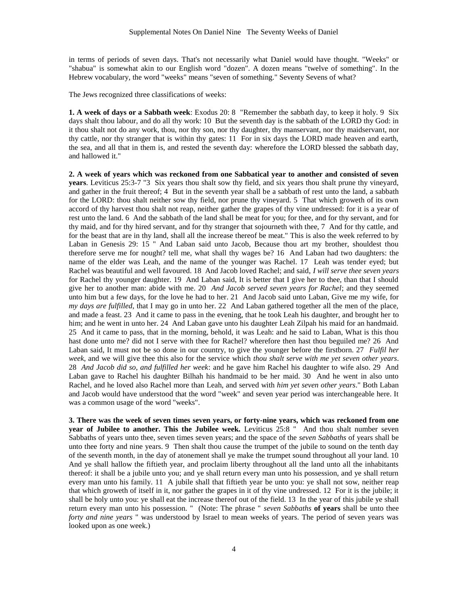in terms of periods of seven days. That's not necessarily what Daniel would have thought. "Weeks" or "shabua" is somewhat akin to our English word "dozen". A dozen means "twelve of something". In the Hebrew vocabulary, the word "weeks" means "seven of something." Seventy Sevens of what?

The Jews recognized three classifications of weeks:

**1. A week of days or a Sabbath week**: Exodus 20: 8 "Remember the sabbath day, to keep it holy. 9 Six days shalt thou labour, and do all thy work: 10 But the seventh day is the sabbath of the LORD thy God: in it thou shalt not do any work, thou, nor thy son, nor thy daughter, thy manservant, nor thy maidservant, nor thy cattle, nor thy stranger that is within thy gates: 11 For in six days the LORD made heaven and earth, the sea, and all that in them is, and rested the seventh day: wherefore the LORD blessed the sabbath day, and hallowed it."

**2. A week of years which was reckoned from one Sabbatical year to another and consisted of seven years**. Leviticus 25:3-7 "3 Six years thou shalt sow thy field, and six years thou shalt prune thy vineyard, and gather in the fruit thereof; 4 But in the seventh year shall be a sabbath of rest unto the land, a sabbath for the LORD: thou shalt neither sow thy field, nor prune thy vineyard. 5 That which groweth of its own accord of thy harvest thou shalt not reap, neither gather the grapes of thy vine undressed: for it is a year of rest unto the land. 6 And the sabbath of the land shall be meat for you; for thee, and for thy servant, and for thy maid, and for thy hired servant, and for thy stranger that sojourneth with thee, 7 And for thy cattle, and for the beast that are in thy land, shall all the increase thereof be meat." This is also the week referred to by Laban in Genesis 29: 15 " And Laban said unto Jacob, Because thou art my brother, shouldest thou therefore serve me for nought? tell me, what shall thy wages be? 16 And Laban had two daughters: the name of the elder was Leah, and the name of the younger was Rachel. 17 Leah was tender eyed; but Rachel was beautiful and well favoured. 18 And Jacob loved Rachel; and said, *I will serve thee seven years* for Rachel thy younger daughter. 19 And Laban said, It is better that I give her to thee, than that I should give her to another man: abide with me. 20 *And Jacob served seven years for Rachel*; and they seemed unto him but a few days, for the love he had to her. 21 And Jacob said unto Laban, Give me my wife, for *my days are fulfilled*, that I may go in unto her. 22 And Laban gathered together all the men of the place, and made a feast. 23 And it came to pass in the evening, that he took Leah his daughter, and brought her to him; and he went in unto her. 24 And Laban gave unto his daughter Leah Zilpah his maid for an handmaid. 25 And it came to pass, that in the morning, behold, it was Leah: and he said to Laban, What is this thou hast done unto me? did not I serve with thee for Rachel? wherefore then hast thou beguiled me? 26 And Laban said, It must not be so done in our country, to give the younger before the firstborn. 27 *Fulfil her week*, and we will give thee this also for the service which *thou shalt serve with me yet seven other years*. 28 *And Jacob did so, and fulfilled her week*: and he gave him Rachel his daughter to wife also. 29 And Laban gave to Rachel his daughter Bilhah his handmaid to be her maid. 30 And he went in also unto Rachel, and he loved also Rachel more than Leah, and served with *him yet seven other years*." Both Laban and Jacob would have understood that the word "week" and seven year period was interchangeable here. It was a common usage of the word "weeks".

**3. There was the week of seven times seven years, or forty-nine years, which was reckoned from one year of Jubilee to another. This the Jubilee week.** Leviticus 25:8 " And thou shalt number seven Sabbaths of years unto thee, seven times seven years; and the space of the *seven Sabbaths* of years shall be unto thee forty and nine years. 9 Then shalt thou cause the trumpet of the jubile to sound on the tenth day of the seventh month, in the day of atonement shall ye make the trumpet sound throughout all your land. 10 And ye shall hallow the fiftieth year, and proclaim liberty throughout all the land unto all the inhabitants thereof: it shall be a jubile unto you; and ye shall return every man unto his possession, and ye shall return every man unto his family. 11 A jubile shall that fiftieth year be unto you: ye shall not sow, neither reap that which groweth of itself in it, nor gather the grapes in it of thy vine undressed. 12 For it is the jubile; it shall be holy unto you: ye shall eat the increase thereof out of the field. 13 In the year of this jubile ye shall return every man unto his possession. " (Note: The phrase " *seven Sabbaths* **of years** shall be unto thee *forty and nine years* " was understood by Israel to mean weeks of years. The period of seven years was looked upon as one week.)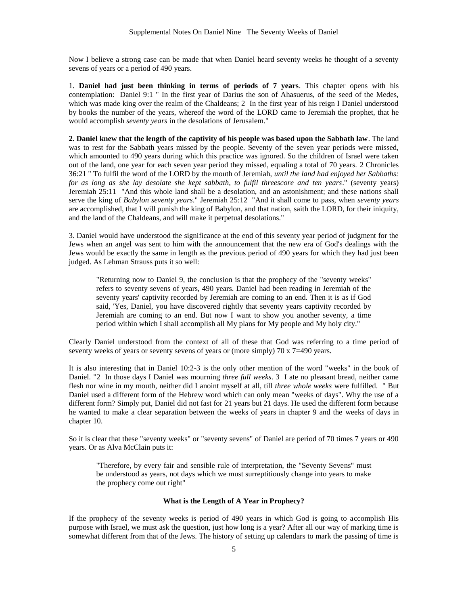Now I believe a strong case can be made that when Daniel heard seventy weeks he thought of a seventy sevens of years or a period of 490 years.

1. **Daniel had just been thinking in terms of periods of 7 years**. This chapter opens with his contemplation: Daniel 9:1 " In the first year of Darius the son of Ahasuerus, of the seed of the Medes, which was made king over the realm of the Chaldeans; 2 In the first year of his reign I Daniel understood by books the number of the years, whereof the word of the LORD came to Jeremiah the prophet, that he would accomplish *seventy years* in the desolations of Jerusalem."

**2. Daniel knew that the length of the captivity of his people was based upon the Sabbath law**. The land was to rest for the Sabbath years missed by the people. Seventy of the seven year periods were missed, which amounted to 490 years during which this practice was ignored. So the children of Israel were taken out of the land, one year for each seven year period they missed, equaling a total of 70 years. 2 Chronicles 36:21 " To fulfil the word of the LORD by the mouth of Jeremiah, *until the land had enjoyed her Sabbaths: for as long as she lay desolate she kept sabbath, to fulfil threescore and ten years*." (seventy years) Jeremiah 25:11 "And this whole land shall be a desolation, and an astonishment; and these nations shall serve the king of *Babylon seventy years*." Jeremiah 25:12 "And it shall come to pass, when *seventy years* are accomplished, that I will punish the king of Babylon, and that nation, saith the LORD, for their iniquity, and the land of the Chaldeans, and will make it perpetual desolations."

3. Daniel would have understood the significance at the end of this seventy year period of judgment for the Jews when an angel was sent to him with the announcement that the new era of God's dealings with the Jews would be exactly the same in length as the previous period of 490 years for which they had just been judged. As Lehman Strauss puts it so well:

"Returning now to Daniel 9, the conclusion is that the prophecy of the "seventy weeks" refers to seventy sevens of years, 490 years. Daniel had been reading in Jeremiah of the seventy years' captivity recorded by Jeremiah are coming to an end. Then it is as if God said, 'Yes, Daniel, you have discovered rightly that seventy years captivity recorded by Jeremiah are coming to an end. But now I want to show you another seventy, a time period within which I shall accomplish all My plans for My people and My holy city."

Clearly Daniel understood from the context of all of these that God was referring to a time period of seventy weeks of years or seventy sevens of years or (more simply) 70 x 7=490 years.

It is also interesting that in Daniel 10:2-3 is the only other mention of the word "weeks" in the book of Daniel. "2 In those days I Daniel was mourning *three full weeks*. 3 I ate no pleasant bread, neither came flesh nor wine in my mouth, neither did I anoint myself at all, till *three whole weeks* were fulfilled. " But Daniel used a different form of the Hebrew word which can only mean "weeks of days". Why the use of a different form? Simply put, Daniel did not fast for 21 years but 21 days. He used the different form because he wanted to make a clear separation between the weeks of years in chapter 9 and the weeks of days in chapter 10.

So it is clear that these "seventy weeks" or "seventy sevens" of Daniel are period of 70 times 7 years or 490 years. Or as Alva McClain puts it:

"Therefore, by every fair and sensible rule of interpretation, the "Seventy Sevens" must be understood as years, not days which we must surreptitiously change into years to make the prophecy come out right"

# **What is the Length of A Year in Prophecy?**

If the prophecy of the seventy weeks is period of 490 years in which God is going to accomplish His purpose with Israel, we must ask the question, just how long is a year? After all our way of marking time is somewhat different from that of the Jews. The history of setting up calendars to mark the passing of time is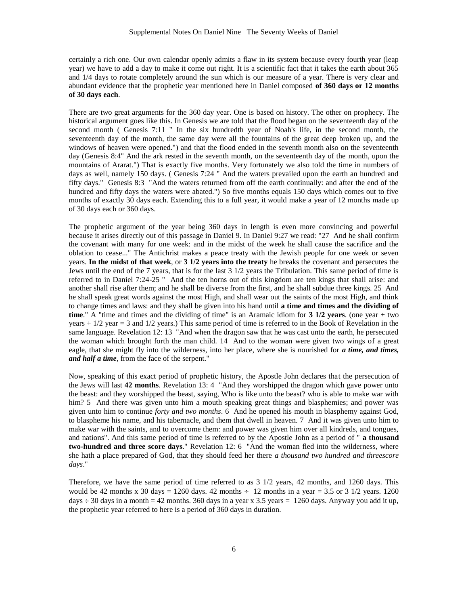certainly a rich one. Our own calendar openly admits a flaw in its system because every fourth year (leap year) we have to add a day to make it come out right. It is a scientific fact that it takes the earth about 365 and 1/4 days to rotate completely around the sun which is our measure of a year. There is very clear and abundant evidence that the prophetic year mentioned here in Daniel composed **of 360 days or 12 months of 30 days each**.

There are two great arguments for the 360 day year. One is based on history. The other on prophecy. The historical argument goes like this. In Genesis we are told that the flood began on the seventeenth day of the second month ( Genesis 7:11 " In the six hundredth year of Noah's life, in the second month, the seventeenth day of the month, the same day were all the fountains of the great deep broken up, and the windows of heaven were opened.") and that the flood ended in the seventh month also on the seventeenth day (Genesis 8:4" And the ark rested in the seventh month, on the seventeenth day of the month, upon the mountains of Ararat.") That is exactly five months. Very fortunately we also told the time in numbers of days as well, namely 150 days. (Genesis 7:24 " And the waters prevailed upon the earth an hundred and fifty days." Genesis 8:3 "And the waters returned from off the earth continually: and after the end of the hundred and fifty days the waters were abated.") So five months equals 150 days which comes out to five months of exactly 30 days each. Extending this to a full year, it would make a year of 12 months made up of 30 days each or 360 days.

The prophetic argument of the year being 360 days in length is even more convincing and powerful because it arises directly out of this passage in Daniel 9. In Daniel 9:27 we read: "27 And he shall confirm the covenant with many for one week: and in the midst of the week he shall cause the sacrifice and the oblation to cease..." The Antichrist makes a peace treaty with the Jewish people for one week or seven years. **In the midst of that week**, or **3 1/2 years into the treaty** he breaks the covenant and persecutes the Jews until the end of the 7 years, that is for the last 3 1/2 years the Tribulation. This same period of time is referred to in Daniel 7:24-25 " And the ten horns out of this kingdom are ten kings that shall arise: and another shall rise after them; and he shall be diverse from the first, and he shall subdue three kings. 25 And he shall speak great words against the most High, and shall wear out the saints of the most High, and think to change times and laws: and they shall be given into his hand until **a time and times and the dividing of time**." A "time and times and the dividing of time" is an Aramaic idiom for **3 1/2 years**. (one year + two years + 1/2 year = 3 and 1/2 years.) This same period of time is referred to in the Book of Revelation in the same language. Revelation 12: 13 "And when the dragon saw that he was cast unto the earth, he persecuted the woman which brought forth the man child. 14 And to the woman were given two wings of a great eagle, that she might fly into the wilderness, into her place, where she is nourished for *a time, and times, and half a time*, from the face of the serpent."

Now, speaking of this exact period of prophetic history, the Apostle John declares that the persecution of the Jews will last **42 months**. Revelation 13: 4 "And they worshipped the dragon which gave power unto the beast: and they worshipped the beast, saying, Who is like unto the beast? who is able to make war with him? 5 And there was given unto him a mouth speaking great things and blasphemies; and power was given unto him to continue *forty and two months*. 6 And he opened his mouth in blasphemy against God, to blaspheme his name, and his tabernacle, and them that dwell in heaven. 7 And it was given unto him to make war with the saints, and to overcome them: and power was given him over all kindreds, and tongues, and nations". And this same period of time is referred to by the Apostle John as a period of " **a thousand two-hundred and three score days**." Revelation 12: 6 "And the woman fled into the wilderness, where she hath a place prepared of God, that they should feed her there *a thousand two hundred and threescore days*."

Therefore, we have the same period of time referred to as 3 1/2 years, 42 months, and 1260 days. This would be 42 months x 30 days = 1260 days. 42 months  $\div$  12 months in a year = 3.5 or 3 1/2 years. 1260 days  $\div$  30 days in a month = 42 months. 360 days in a year x 3.5 years = 1260 days. Anyway you add it up, the prophetic year referred to here is a period of 360 days in duration.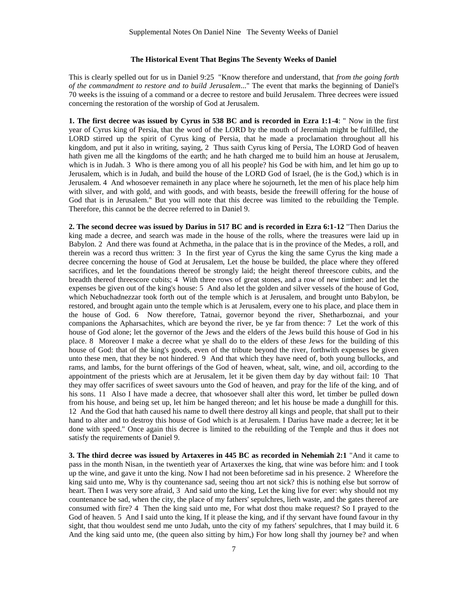## **The Historical Event That Begins The Seventy Weeks of Daniel**

This is clearly spelled out for us in Daniel 9:25 "Know therefore and understand, that *from the going forth of the commandment to restore and to build Jerusalem*..." The event that marks the beginning of Daniel's 70 weeks is the issuing of a command or a decree to restore and build Jerusalem. Three decrees were issued concerning the restoration of the worship of God at Jerusalem.

**1. The first decree was issued by Cyrus in 538 BC and is recorded in Ezra 1:1-4**: " Now in the first year of Cyrus king of Persia, that the word of the LORD by the mouth of Jeremiah might be fulfilled, the LORD stirred up the spirit of Cyrus king of Persia, that he made a proclamation throughout all his kingdom, and put it also in writing, saying, 2 Thus saith Cyrus king of Persia, The LORD God of heaven hath given me all the kingdoms of the earth; and he hath charged me to build him an house at Jerusalem, which is in Judah. 3 Who is there among you of all his people? his God be with him, and let him go up to Jerusalem, which is in Judah, and build the house of the LORD God of Israel, (he is the God,) which is in Jerusalem. 4 And whosoever remaineth in any place where he sojourneth, let the men of his place help him with silver, and with gold, and with goods, and with beasts, beside the freewill offering for the house of God that is in Jerusalem." But you will note that this decree was limited to the rebuilding the Temple. Therefore, this cannot be the decree referred to in Daniel 9.

**2. The second decree was issued by Darius in 517 BC and is recorded in Ezra 6:1-12** "Then Darius the king made a decree, and search was made in the house of the rolls, where the treasures were laid up in Babylon. 2 And there was found at Achmetha, in the palace that is in the province of the Medes, a roll, and therein was a record thus written: 3 In the first year of Cyrus the king the same Cyrus the king made a decree concerning the house of God at Jerusalem, Let the house be builded, the place where they offered sacrifices, and let the foundations thereof be strongly laid; the height thereof threescore cubits, and the breadth thereof threescore cubits; 4 With three rows of great stones, and a row of new timber: and let the expenses be given out of the king's house: 5 And also let the golden and silver vessels of the house of God, which Nebuchadnezzar took forth out of the temple which is at Jerusalem, and brought unto Babylon, be restored, and brought again unto the temple which is at Jerusalem, every one to his place, and place them in the house of God. 6 Now therefore, Tatnai, governor beyond the river, Shetharboznai, and your companions the Apharsachites, which are beyond the river, be ye far from thence: 7 Let the work of this house of God alone; let the governor of the Jews and the elders of the Jews build this house of God in his place. 8 Moreover I make a decree what ye shall do to the elders of these Jews for the building of this house of God: that of the king's goods, even of the tribute beyond the river, forthwith expenses be given unto these men, that they be not hindered. 9 And that which they have need of, both young bullocks, and rams, and lambs, for the burnt offerings of the God of heaven, wheat, salt, wine, and oil, according to the appointment of the priests which are at Jerusalem, let it be given them day by day without fail: 10 That they may offer sacrifices of sweet savours unto the God of heaven, and pray for the life of the king, and of his sons. 11 Also I have made a decree, that whosoever shall alter this word, let timber be pulled down from his house, and being set up, let him be hanged thereon; and let his house be made a dunghill for this. 12 And the God that hath caused his name to dwell there destroy all kings and people, that shall put to their hand to alter and to destroy this house of God which is at Jerusalem. I Darius have made a decree; let it be done with speed." Once again this decree is limited to the rebuilding of the Temple and thus it does not satisfy the requirements of Daniel 9.

**3. The third decree was issued by Artaxeres in 445 BC as recorded in Nehemiah 2:1** "And it came to pass in the month Nisan, in the twentieth year of Artaxerxes the king, that wine was before him: and I took up the wine, and gave it unto the king. Now I had not been beforetime sad in his presence. 2 Wherefore the king said unto me, Why is thy countenance sad, seeing thou art not sick? this is nothing else but sorrow of heart. Then I was very sore afraid, 3 And said unto the king, Let the king live for ever: why should not my countenance be sad, when the city, the place of my fathers' sepulchres, lieth waste, and the gates thereof are consumed with fire? 4 Then the king said unto me, For what dost thou make request? So I prayed to the God of heaven. 5 And I said unto the king, If it please the king, and if thy servant have found favour in thy sight, that thou wouldest send me unto Judah, unto the city of my fathers' sepulchres, that I may build it. 6 And the king said unto me, (the queen also sitting by him,) For how long shall thy journey be? and when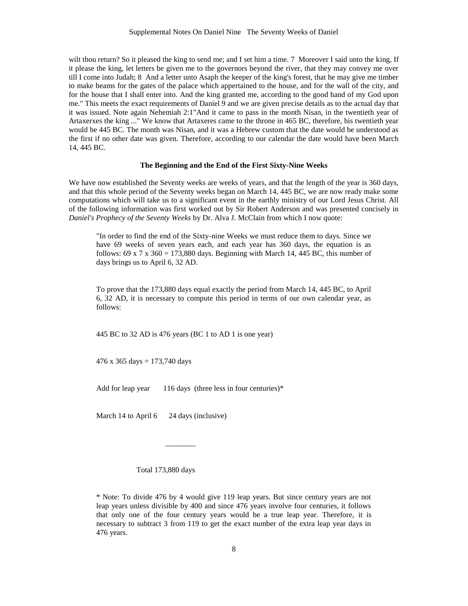wilt thou return? So it pleased the king to send me; and I set him a time. 7 Moreover I said unto the king, If it please the king, let letters be given me to the governors beyond the river, that they may convey me over till I come into Judah; 8 And a letter unto Asaph the keeper of the king's forest, that he may give me timber to make beams for the gates of the palace which appertained to the house, and for the wall of the city, and for the house that I shall enter into. And the king granted me, according to the good hand of my God upon me." This meets the exact requirements of Daniel 9 and we are given precise details as to the actual day that it was issued. Note again Nehemiah 2:1"And it came to pass in the month Nisan, in the twentieth year of Artaxerxes the king ..." We know that Artaxeres came to the throne in 465 BC, therefore, his twentieth year would be 445 BC. The month was Nisan, and it was a Hebrew custom that the date would be understood as the first if no other date was given. Therefore, according to our calendar the date would have been March 14, 445 BC.

#### **The Beginning and the End of the First Sixty-Nine Weeks**

We have now established the Seventy weeks are weeks of years, and that the length of the year is 360 days, and that this whole period of the Seventy weeks began on March 14, 445 BC, we are now ready make some computations which will take us to a significant event in the earthly ministry of our Lord Jesus Christ. All of the following information was first worked out by Sir Robert Anderson and was presented concisely in *Daniel's Prophecy of the Seventy Weeks* by Dr. Alva J. McClain from which I now quote:

"In order to find the end of the Sixty-nine Weeks we must reduce them to days. Since we have 69 weeks of seven years each, and each year has 360 days, the equation is as follows:  $69 \times 7 \times 360 = 173,880$  days. Beginning with March 14, 445 BC, this number of days brings us to April 6, 32 AD.

To prove that the 173,880 days equal exactly the period from March 14, 445 BC, to April 6, 32 AD, it is necessary to compute this period in terms of our own calendar year, as follows:

445 BC to 32 AD is 476 years (BC 1 to AD 1 is one year)

476 x 365 days = 173,740 days

\_\_\_\_\_\_\_\_

Add for leap year  $116$  days (three less in four centuries)\*

March 14 to April 6 24 days (inclusive)

Total 173,880 days

\* Note: To divide 476 by 4 would give 119 leap years. But since century years are not leap years unless divisible by 400 and since 476 years involve four centuries, it follows that only one of the four century years would be a true leap year. Therefore, it is necessary to subtract 3 from 119 to get the exact number of the extra leap year days in 476 years.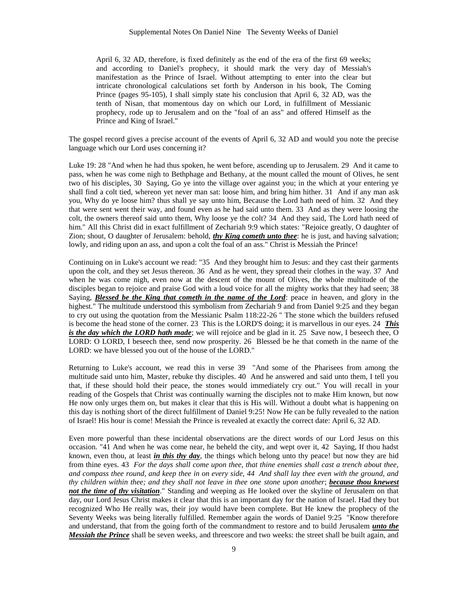April 6, 32 AD, therefore, is fixed definitely as the end of the era of the first 69 weeks; and according to Daniel's prophecy, it should mark the very day of Messiah's manifestation as the Prince of Israel. Without attempting to enter into the clear but intricate chronological calculations set forth by Anderson in his book, The Coming Prince (pages 95-105), I shall simply state his conclusion that April 6, 32 AD, was the tenth of Nisan, that momentous day on which our Lord, in fulfillment of Messianic prophecy, rode up to Jerusalem and on the "foal of an ass" and offered Himself as the Prince and King of Israel."

The gospel record gives a precise account of the events of April 6, 32 AD and would you note the precise language which our Lord uses concerning it?

Luke 19: 28 "And when he had thus spoken, he went before, ascending up to Jerusalem. 29 And it came to pass, when he was come nigh to Bethphage and Bethany, at the mount called the mount of Olives, he sent two of his disciples, 30 Saying, Go ye into the village over against you; in the which at your entering ye shall find a colt tied, whereon yet never man sat: loose him, and bring him hither. 31 And if any man ask you, Why do ye loose him? thus shall ye say unto him, Because the Lord hath need of him. 32 And they that were sent went their way, and found even as he had said unto them. 33 And as they were loosing the colt, the owners thereof said unto them, Why loose ye the colt? 34 And they said, The Lord hath need of him." All this Christ did in exact fulfillment of Zechariah 9:9 which states: "Rejoice greatly, O daughter of Zion; shout, O daughter of Jerusalem: behold, *thy King cometh unto thee*: he is just, and having salvation; lowly, and riding upon an ass, and upon a colt the foal of an ass." Christ is Messiah the Prince!

Continuing on in Luke's account we read: "35 And they brought him to Jesus: and they cast their garments upon the colt, and they set Jesus thereon. 36 And as he went, they spread their clothes in the way. 37 And when he was come nigh, even now at the descent of the mount of Olives, the whole multitude of the disciples began to rejoice and praise God with a loud voice for all the mighty works that they had seen; 38 Saying, *Blessed be the King that cometh in the name of the Lord*: peace in heaven, and glory in the highest." The multitude understood this symbolism from Zechariah 9 and from Daniel 9:25 and they began to cry out using the quotation from the Messianic Psalm 118:22-26 " The stone which the builders refused is become the head stone of the corner. 23 This is the LORD'S doing; it is marvellous in our eyes. 24 *This is the day which the LORD hath made*; we will rejoice and be glad in it. 25 Save now, I beseech thee, O LORD: O LORD, I beseech thee, send now prosperity. 26 Blessed be he that cometh in the name of the LORD: we have blessed you out of the house of the LORD."

Returning to Luke's account, we read this in verse 39 "And some of the Pharisees from among the multitude said unto him, Master, rebuke thy disciples. 40 And he answered and said unto them, I tell you that, if these should hold their peace, the stones would immediately cry out." You will recall in your reading of the Gospels that Christ was continually warning the disciples not to make Him known, but now He now only urges them on, but makes it clear that this is His will. Without a doubt what is happening on this day is nothing short of the direct fulfillment of Daniel 9:25! Now He can be fully revealed to the nation of Israel! His hour is come! Messiah the Prince is revealed at exactly the correct date: April 6, 32 AD.

Even more powerful than these incidental observations are the direct words of our Lord Jesus on this occasion. "41 And when he was come near, he beheld the city, and wept over it, 42 Saying, If thou hadst known, even thou, at least *in this thy day*, the things which belong unto thy peace! but now they are hid from thine eyes. 43 *For the days shall come upon thee, that thine enemies shall cast a trench about thee, and compass thee round, and keep thee in on every side, 44 And shall lay thee even with the ground, and thy children within thee; and they shall not leave in thee one stone upon another*; *because thou knewest not the time of thy visitation*." Standing and weeping as He looked over the skyline of Jerusalem on that day, our Lord Jesus Christ makes it clear that this is an important day for the nation of Israel. Had they but recognized Who He really was, their joy would have been complete. But He knew the prophecy of the Seventy Weeks was being literally fulfilled. Remember again the words of Daniel 9:25 "Know therefore and understand, that from the going forth of the commandment to restore and to build Jerusalem *unto the Messiah the Prince* shall be seven weeks, and threescore and two weeks: the street shall be built again, and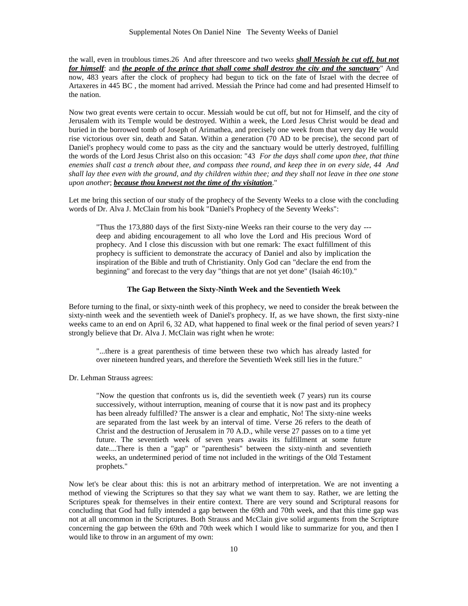the wall, even in troublous times.26 And after threescore and two weeks *shall Messiah be cut off, but not for himself*: and *the people of the prince that shall come shall destroy the city and the sanctuary*" And now, 483 years after the clock of prophecy had begun to tick on the fate of Israel with the decree of Artaxeres in 445 BC , the moment had arrived. Messiah the Prince had come and had presented Himself to the nation.

Now two great events were certain to occur. Messiah would be cut off, but not for Himself, and the city of Jerusalem with its Temple would be destroyed. Within a week, the Lord Jesus Christ would be dead and buried in the borrowed tomb of Joseph of Arimathea, and precisely one week from that very day He would rise victorious over sin, death and Satan. Within a generation (70 AD to be precise), the second part of Daniel's prophecy would come to pass as the city and the sanctuary would be utterly destroyed, fulfilling the words of the Lord Jesus Christ also on this occasion: "43 *For the days shall come upon thee, that thine enemies shall cast a trench about thee, and compass thee round, and keep thee in on every side, 44 And shall lay thee even with the ground, and thy children within thee; and they shall not leave in thee one stone upon another*; *because thou knewest not the time of thy visitation*."

Let me bring this section of our study of the prophecy of the Seventy Weeks to a close with the concluding words of Dr. Alva J. McClain from his book "Daniel's Prophecy of the Seventy Weeks":

"Thus the 173,880 days of the first Sixty-nine Weeks ran their course to the very day -- deep and abiding encouragement to all who love the Lord and His precious Word of prophecy. And I close this discussion with but one remark: The exact fulfillment of this prophecy is sufficient to demonstrate the accuracy of Daniel and also by implication the inspiration of the Bible and truth of Christianity. Only God can "declare the end from the beginning" and forecast to the very day "things that are not yet done" (Isaiah 46:10)."

#### **The Gap Between the Sixty-Ninth Week and the Seventieth Week**

Before turning to the final, or sixty-ninth week of this prophecy, we need to consider the break between the sixty-ninth week and the seventieth week of Daniel's prophecy. If, as we have shown, the first sixty-nine weeks came to an end on April 6, 32 AD, what happened to final week or the final period of seven years? I strongly believe that Dr. Alva J. McClain was right when he wrote:

"...there is a great parenthesis of time between these two which has already lasted for over nineteen hundred years, and therefore the Seventieth Week still lies in the future."

Dr. Lehman Strauss agrees:

"Now the question that confronts us is, did the seventieth week (7 years) run its course successively, without interruption, meaning of course that it is now past and its prophecy has been already fulfilled? The answer is a clear and emphatic, No! The sixty-nine weeks are separated from the last week by an interval of time. Verse 26 refers to the death of Christ and the destruction of Jerusalem in 70 A.D., while verse 27 passes on to a time yet future. The seventieth week of seven years awaits its fulfillment at some future date....There is then a "gap" or "parenthesis" between the sixty-ninth and seventieth weeks, an undetermined period of time not included in the writings of the Old Testament prophets."

Now let's be clear about this: this is not an arbitrary method of interpretation. We are not inventing a method of viewing the Scriptures so that they say what we want them to say. Rather, we are letting the Scriptures speak for themselves in their entire context. There are very sound and Scriptural reasons for concluding that God had fully intended a gap between the 69th and 70th week, and that this time gap was not at all uncommon in the Scriptures. Both Strauss and McClain give solid arguments from the Scripture concerning the gap between the 69th and 70th week which I would like to summarize for you, and then I would like to throw in an argument of my own: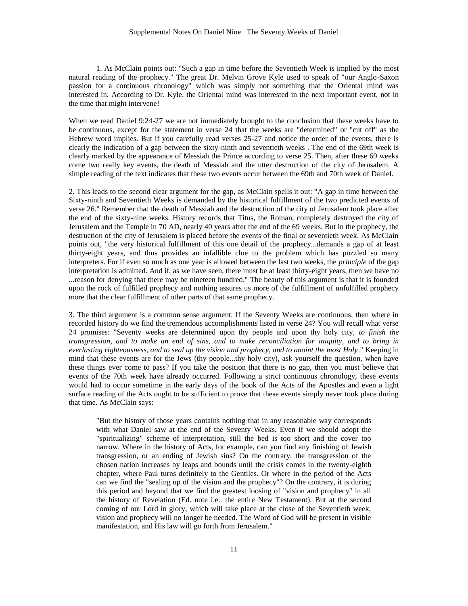1. As McClain points out: "Such a gap in time before the Seventieth Week is implied by the most natural reading of the prophecy." The great Dr. Melvin Grove Kyle used to speak of "our Anglo-Saxon passion for a continuous chronology" which was simply not something that the Oriental mind was interested in. According to Dr. Kyle, the Oriental mind was interested in the next important event, not in the time that might intervene!

When we read Daniel 9:24-27 we are not immediately brought to the conclusion that these weeks have to be continuous, except for the statement in verse 24 that the weeks are "determined" or "cut off" as the Hebrew word implies. But if you carefully read verses 25-27 and notice the order of the events, there is clearly the indication of a gap between the sixty-ninth and seventieth weeks . The end of the 69th week is clearly marked by the appearance of Messiah the Prince according to verse 25. Then, after these 69 weeks come two really key events, the death of Messiah and the utter destruction of the city of Jerusalem. A simple reading of the text indicates that these two events occur between the 69th and 70th week of Daniel.

2. This leads to the second clear argument for the gap, as McClain spells it out: "A gap in time between the Sixty-ninth and Seventieth Weeks is demanded by the historical fulfillment of the two predicted events of verse 26." Remember that the death of Messiah and the destruction of the city of Jerusalem took place after the end of the sixty-nine weeks. History records that Titus, the Roman, completely destroyed the city of Jerusalem and the Temple in 70 AD, nearly 40 years after the end of the 69 weeks. But in the prophecy, the destruction of the city of Jerusalem is placed before the events of the final or seventieth week. As McClain points out, "the very historical fulfillment of this one detail of the prophecy...demands a gap of at least thirty-eight years, and thus provides an infallible clue to the problem which has puzzled so many interpreters. For if even so much as one year is allowed between the last two weeks, the *principle* of the gap interpretation is admitted. And if, as we have seen, there must be at least thirty-eight years, then we have no ...reason for denying that there may be nineteen hundred." The beauty of this argument is that it is founded upon the rock of fulfilled prophecy and nothing assures us more of the fulfillment of unfulfilled prophecy more that the clear fulfillment of other parts of that same prophecy.

3. The third argument is a common sense argument. If the Seventy Weeks are continuous, then where in recorded history do we find the tremendous accomplishments listed in verse 24? You will recall what verse 24 promises: "Seventy weeks are determined upon thy people and upon thy holy city, *to finish the transgression, and to make an end of sins, and to make reconciliation for iniquity, and to bring in everlasting righteousness, and to seal up the vision and prophecy, and to anoint the most Holy*." Keeping in mind that these events are for the Jews (thy people...thy holy city), ask yourself the question, when have these things ever come to pass? If you take the position that there is no gap, then you must believe that events of the 70th week have already occurred. Following a strict continuous chronology, these events would had to occur sometime in the early days of the book of the Acts of the Apostles and even a light surface reading of the Acts ought to be sufficient to prove that these events simply never took place during that time. As McClain says:

"But the history of those years contains nothing that in any reasonable way corresponds with what Daniel saw at the end of the Seventy Weeks. Even if we should adopt the "spiritualizing" scheme of interpretation, still the bed is too short and the cover too narrow. Where in the history of Acts, for example, can you find any finishing of Jewish transgression, or an ending of Jewish sins? On the contrary, the transgression of the chosen nation increases by leaps and bounds until the crisis comes in the twenty-eighth chapter, where Paul turns definitely to the Gentiles. Or where in the period of the Acts can we find the "sealing up of the vision and the prophecy"? On the contrary, it is during this period and beyond that we find the greatest loosing of "vision and prophecy" in all the history of Revelation (Ed. note i.e.. the entire New Testament). But at the second coming of our Lord in glory, which will take place at the close of the Seventieth week, vision and prophecy will no longer be needed. The Word of God will be present in visible manifestation, and His law will go forth from Jerusalem."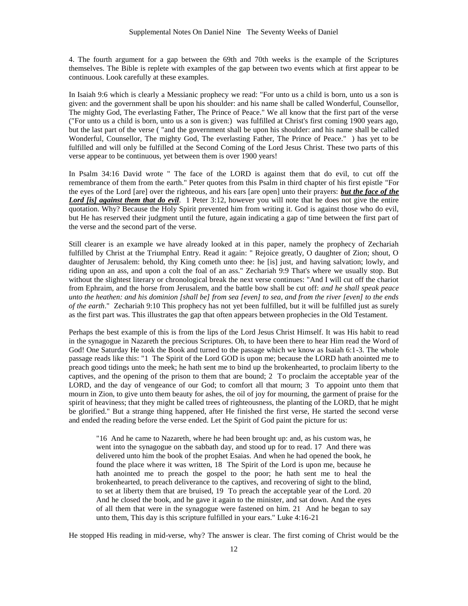4. The fourth argument for a gap between the 69th and 70th weeks is the example of the Scriptures themselves. The Bible is replete with examples of the gap between two events which at first appear to be continuous. Look carefully at these examples.

In Isaiah 9:6 which is clearly a Messianic prophecy we read: "For unto us a child is born, unto us a son is given: and the government shall be upon his shoulder: and his name shall be called Wonderful, Counsellor, The mighty God, The everlasting Father, The Prince of Peace." We all know that the first part of the verse ("For unto us a child is born, unto us a son is given:) was fulfilled at Christ's first coming 1900 years ago, but the last part of the verse ( "and the government shall be upon his shoulder: and his name shall be called Wonderful, Counsellor, The mighty God, The everlasting Father, The Prince of Peace." ) has yet to be fulfilled and will only be fulfilled at the Second Coming of the Lord Jesus Christ. These two parts of this verse appear to be continuous, yet between them is over 1900 years!

In Psalm 34:16 David wrote " The face of the LORD is against them that do evil, to cut off the remembrance of them from the earth." Peter quotes from this Psalm in third chapter of his first epistle "For the eyes of the Lord [are] over the righteous, and his ears [are open] unto their prayers: *but the face of the Lord [is] against them that do evil*. 1 Peter 3:12, however you will note that he does not give the entire quotation. Why? Because the Holy Spirit prevented him from writing it. God is against those who do evil, but He has reserved their judgment until the future, again indicating a gap of time between the first part of the verse and the second part of the verse.

Still clearer is an example we have already looked at in this paper, namely the prophecy of Zechariah fulfilled by Christ at the Triumphal Entry. Read it again: " Rejoice greatly, O daughter of Zion; shout, O daughter of Jerusalem: behold, thy King cometh unto thee: he [is] just, and having salvation; lowly, and riding upon an ass, and upon a colt the foal of an ass." Zechariah 9:9 That's where we usually stop. But without the slightest literary or chronological break the next verse continues: "And I will cut off the chariot from Ephraim, and the horse from Jerusalem, and the battle bow shall be cut off: *and he shall speak peace unto the heathen: and his dominion [shall be] from sea [even] to sea, and from the river [even] to the ends of the earth*." Zechariah 9:10 This prophecy has not yet been fulfilled, but it will be fulfilled just as surely as the first part was. This illustrates the gap that often appears between prophecies in the Old Testament.

Perhaps the best example of this is from the lips of the Lord Jesus Christ Himself. It was His habit to read in the synagogue in Nazareth the precious Scriptures. Oh, to have been there to hear Him read the Word of God! One Saturday He took the Book and turned to the passage which we know as Isaiah 6:1-3. The whole passage reads like this: "1 The Spirit of the Lord GOD is upon me; because the LORD hath anointed me to preach good tidings unto the meek; he hath sent me to bind up the brokenhearted, to proclaim liberty to the captives, and the opening of the prison to them that are bound; 2 To proclaim the acceptable year of the LORD, and the day of vengeance of our God; to comfort all that mourn; 3 To appoint unto them that mourn in Zion, to give unto them beauty for ashes, the oil of joy for mourning, the garment of praise for the spirit of heaviness; that they might be called trees of righteousness, the planting of the LORD, that he might be glorified." But a strange thing happened, after He finished the first verse, He started the second verse and ended the reading before the verse ended. Let the Spirit of God paint the picture for us:

"16 And he came to Nazareth, where he had been brought up: and, as his custom was, he went into the synagogue on the sabbath day, and stood up for to read. 17 And there was delivered unto him the book of the prophet Esaias. And when he had opened the book, he found the place where it was written, 18 The Spirit of the Lord is upon me, because he hath anointed me to preach the gospel to the poor; he hath sent me to heal the brokenhearted, to preach deliverance to the captives, and recovering of sight to the blind, to set at liberty them that are bruised, 19 To preach the acceptable year of the Lord. 20 And he closed the book, and he gave it again to the minister, and sat down. And the eyes of all them that were in the synagogue were fastened on him. 21 And he began to say unto them, This day is this scripture fulfilled in your ears." Luke 4:16-21

He stopped His reading in mid-verse, why? The answer is clear. The first coming of Christ would be the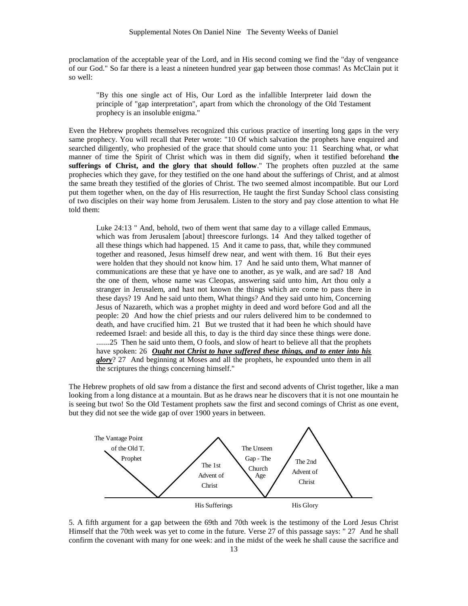proclamation of the acceptable year of the Lord, and in His second coming we find the "day of vengeance of our God." So far there is a least a nineteen hundred year gap between those commas! As McClain put it so well:

"By this one single act of His, Our Lord as the infallible Interpreter laid down the principle of "gap interpretation", apart from which the chronology of the Old Testament prophecy is an insoluble enigma."

Even the Hebrew prophets themselves recognized this curious practice of inserting long gaps in the very same prophecy. You will recall that Peter wrote: "10 Of which salvation the prophets have enquired and searched diligently, who prophesied of the grace that should come unto you: 11 Searching what, or what manner of time the Spirit of Christ which was in them did signify, when it testified beforehand **the sufferings of Christ, and the glory that should follow**." The prophets often puzzled at the same prophecies which they gave, for they testified on the one hand about the sufferings of Christ, and at almost the same breath they testified of the glories of Christ. The two seemed almost incompatible. But our Lord put them together when, on the day of His resurrection, He taught the first Sunday School class consisting of two disciples on their way home from Jerusalem. Listen to the story and pay close attention to what He told them:

Luke 24:13 " And, behold, two of them went that same day to a village called Emmaus, which was from Jerusalem [about] threescore furlongs. 14 And they talked together of all these things which had happened. 15 And it came to pass, that, while they communed together and reasoned, Jesus himself drew near, and went with them. 16 But their eyes were holden that they should not know him. 17 And he said unto them, What manner of communications are these that ye have one to another, as ye walk, and are sad? 18 And the one of them, whose name was Cleopas, answering said unto him, Art thou only a stranger in Jerusalem, and hast not known the things which are come to pass there in these days? 19 And he said unto them, What things? And they said unto him, Concerning Jesus of Nazareth, which was a prophet mighty in deed and word before God and all the people: 20 And how the chief priests and our rulers delivered him to be condemned to death, and have crucified him. 21 But we trusted that it had been he which should have redeemed Israel: and beside all this, to day is the third day since these things were done. .......25 Then he said unto them, O fools, and slow of heart to believe all that the prophets have spoken: 26 *Ought not Christ to have suffered these things, and to enter into his glory*? 27 And beginning at Moses and all the prophets, he expounded unto them in all the scriptures the things concerning himself."

The Hebrew prophets of old saw from a distance the first and second advents of Christ together, like a man looking from a long distance at a mountain. But as he draws near he discovers that it is not one mountain he is seeing but two! So the Old Testament prophets saw the first and second comings of Christ as one event, but they did not see the wide gap of over 1900 years in between.



5. A fifth argument for a gap between the 69th and 70th week is the testimony of the Lord Jesus Christ Himself that the 70th week was yet to come in the future. Verse 27 of this passage says: " 27 And he shall confirm the covenant with many for one week: and in the midst of the week he shall cause the sacrifice and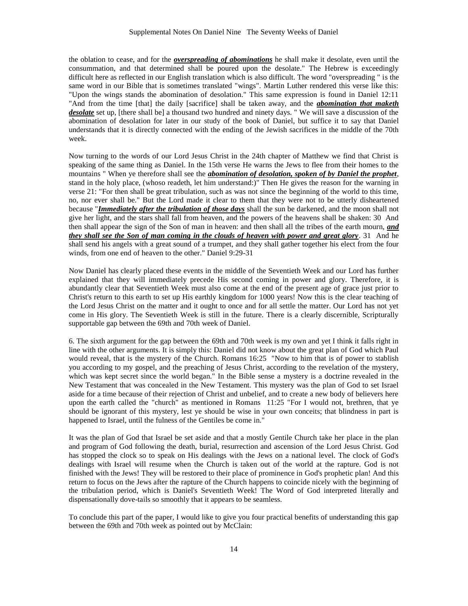the oblation to cease, and for the *overspreading of abominations* he shall make it desolate, even until the consummation, and that determined shall be poured upon the desolate." The Hebrew is exceedingly difficult here as reflected in our English translation which is also difficult. The word "overspreading " is the same word in our Bible that is sometimes translated "wings". Martin Luther rendered this verse like this: "Upon the wings stands the abomination of desolation." This same expression is found in Daniel 12:11 "And from the time [that] the daily [sacrifice] shall be taken away, and the *abomination that maketh desolate* set up, [there shall be] a thousand two hundred and ninety days. " We will save a discussion of the abomination of desolation for later in our study of the book of Daniel, but suffice it to say that Daniel understands that it is directly connected with the ending of the Jewish sacrifices in the middle of the 70th week.

Now turning to the words of our Lord Jesus Christ in the 24th chapter of Matthew we find that Christ is speaking of the same thing as Daniel. In the 15th verse He warns the Jews to flee from their homes to the mountains " When ye therefore shall see the *abomination of desolation, spoken of by Daniel the prophet*, stand in the holy place, (whoso readeth, let him understand:)" Then He gives the reason for the warning in verse 21: "For then shall be great tribulation, such as was not since the beginning of the world to this time, no, nor ever shall be." But the Lord made it clear to them that they were not to be utterly disheartened because "*Immediately after the tribulation of those days* shall the sun be darkened, and the moon shall not give her light, and the stars shall fall from heaven, and the powers of the heavens shall be shaken: 30 And then shall appear the sign of the Son of man in heaven: and then shall all the tribes of the earth mourn, *and they shall see the Son of man coming in the clouds of heaven with power and great glory*. 31 And he shall send his angels with a great sound of a trumpet, and they shall gather together his elect from the four winds, from one end of heaven to the other." Daniel 9:29-31

Now Daniel has clearly placed these events in the middle of the Seventieth Week and our Lord has further explained that they will immediately precede His second coming in power and glory. Therefore, it is abundantly clear that Seventieth Week must also come at the end of the present age of grace just prior to Christ's return to this earth to set up His earthly kingdom for 1000 years! Now this is the clear teaching of the Lord Jesus Christ on the matter and it ought to once and for all settle the matter. Our Lord has not yet come in His glory. The Seventieth Week is still in the future. There is a clearly discernible, Scripturally supportable gap between the 69th and 70th week of Daniel.

6. The sixth argument for the gap between the 69th and 70th week is my own and yet I think it falls right in line with the other arguments. It is simply this: Daniel did not know about the great plan of God which Paul would reveal, that is the mystery of the Church. Romans 16:25 "Now to him that is of power to stablish you according to my gospel, and the preaching of Jesus Christ, according to the revelation of the mystery, which was kept secret since the world began." In the Bible sense a mystery is a doctrine revealed in the New Testament that was concealed in the New Testament. This mystery was the plan of God to set Israel aside for a time because of their rejection of Christ and unbelief, and to create a new body of believers here upon the earth called the "church" as mentioned in Romans 11:25 "For I would not, brethren, that ye should be ignorant of this mystery, lest ye should be wise in your own conceits; that blindness in part is happened to Israel, until the fulness of the Gentiles be come in."

It was the plan of God that Israel be set aside and that a mostly Gentile Church take her place in the plan and program of God following the death, burial, resurrection and ascension of the Lord Jesus Christ. God has stopped the clock so to speak on His dealings with the Jews on a national level. The clock of God's dealings with Israel will resume when the Church is taken out of the world at the rapture. God is not finished with the Jews! They will be restored to their place of prominence in God's prophetic plan! And this return to focus on the Jews after the rapture of the Church happens to coincide nicely with the beginning of the tribulation period, which is Daniel's Seventieth Week! The Word of God interpreted literally and dispensationally dove-tails so smoothly that it appears to be seamless.

To conclude this part of the paper, I would like to give you four practical benefits of understanding this gap between the 69th and 70th week as pointed out by McClain: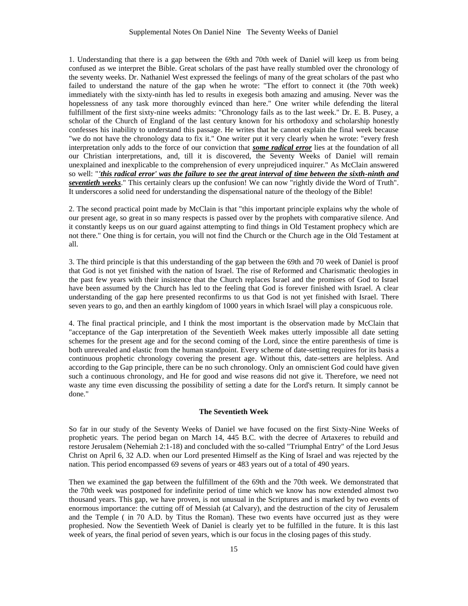1. Understanding that there is a gap between the 69th and 70th week of Daniel will keep us from being confused as we interpret the Bible. Great scholars of the past have really stumbled over the chronology of the seventy weeks. Dr. Nathaniel West expressed the feelings of many of the great scholars of the past who failed to understand the nature of the gap when he wrote: "The effort to connect it (the 70th week) immediately with the sixty-ninth has led to results in exegesis both amazing and amusing. Never was the hopelessness of any task more thoroughly evinced than here." One writer while defending the literal fulfillment of the first sixty-nine weeks admits: "Chronology fails as to the last week." Dr. E. B. Pusey, a scholar of the Church of England of the last century known for his orthodoxy and scholarship honestly confesses his inability to understand this passage. He writes that he cannot explain the final week because "we do not have the chronology data to fix it." One writer put it very clearly when he wrote: "every fresh interpretation only adds to the force of our conviction that *some radical error* lies at the foundation of all our Christian interpretations, and, till it is discovered, the Seventy Weeks of Daniel will remain unexplained and inexplicable to the comprehension of every unprejudiced inquirer." As McClain answered so well: "*'this radical error' was the failure to see the great interval of time between the sixth-ninth and seventieth weeks*." This certainly clears up the confusion! We can now "rightly divide the Word of Truth". It underscores a solid need for understanding the dispensational nature of the theology of the Bible!

2. The second practical point made by McClain is that "this important principle explains why the whole of our present age, so great in so many respects is passed over by the prophets with comparative silence. And it constantly keeps us on our guard against attempting to find things in Old Testament prophecy which are not there." One thing is for certain, you will not find the Church or the Church age in the Old Testament at all.

3. The third principle is that this understanding of the gap between the 69th and 70 week of Daniel is proof that God is not yet finished with the nation of Israel. The rise of Reformed and Charismatic theologies in the past few years with their insistence that the Church replaces Israel and the promises of God to Israel have been assumed by the Church has led to the feeling that God is forever finished with Israel. A clear understanding of the gap here presented reconfirms to us that God is not yet finished with Israel. There seven years to go, and then an earthly kingdom of 1000 years in which Israel will play a conspicuous role.

4. The final practical principle, and I think the most important is the observation made by McClain that "acceptance of the Gap interpretation of the Seventieth Week makes utterly impossible all date setting schemes for the present age and for the second coming of the Lord, since the entire parenthesis of time is both unrevealed and elastic from the human standpoint. Every scheme of date-setting requires for its basis a continuous prophetic chronology covering the present age. Without this, date-setters are helpless. And according to the Gap principle, there can be no such chronology. Only an omniscient God could have given such a continuous chronology, and He for good and wise reasons did not give it. Therefore, we need not waste any time even discussing the possibility of setting a date for the Lord's return. It simply cannot be done."

#### **The Seventieth Week**

So far in our study of the Seventy Weeks of Daniel we have focused on the first Sixty-Nine Weeks of prophetic years. The period began on March 14, 445 B.C. with the decree of Artaxeres to rebuild and restore Jerusalem (Nehemiah 2:1-18) and concluded with the so-called "Triumphal Entry" of the Lord Jesus Christ on April 6, 32 A.D. when our Lord presented Himself as the King of Israel and was rejected by the nation. This period encompassed 69 sevens of years or 483 years out of a total of 490 years.

Then we examined the gap between the fulfillment of the 69th and the 70th week. We demonstrated that the 70th week was postponed for indefinite period of time which we know has now extended almost two thousand years. This gap, we have proven, is not unusual in the Scriptures and is marked by two events of enormous importance: the cutting off of Messiah (at Calvary), and the destruction of the city of Jerusalem and the Temple ( in 70 A.D. by Titus the Roman). These two events have occurred just as they were prophesied. Now the Seventieth Week of Daniel is clearly yet to be fulfilled in the future. It is this last week of years, the final period of seven years, which is our focus in the closing pages of this study.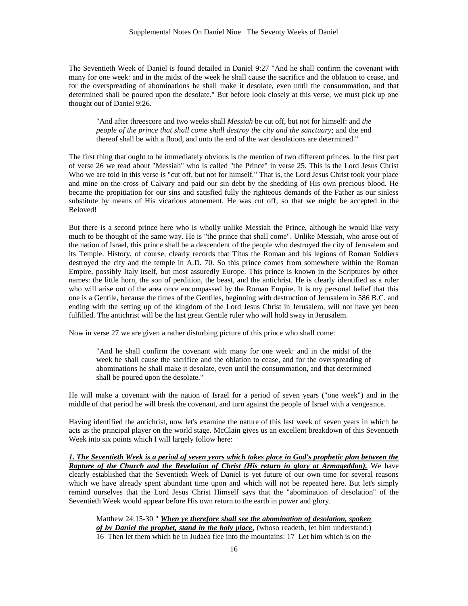The Seventieth Week of Daniel is found detailed in Daniel 9:27 "And he shall confirm the covenant with many for one week: and in the midst of the week he shall cause the sacrifice and the oblation to cease, and for the overspreading of abominations he shall make it desolate, even until the consummation, and that determined shall be poured upon the desolate." But before look closely at this verse, we must pick up one thought out of Daniel 9:26.

"And after threescore and two weeks shall *Messiah* be cut off, but not for himself: and *the people of the prince that shall come shall destroy the city and the sanctuary*; and the end thereof shall be with a flood, and unto the end of the war desolations are determined."

The first thing that ought to be immediately obvious is the mention of two different princes. In the first part of verse 26 we read about "Messiah" who is called "the Prince" in verse 25. This is the Lord Jesus Christ Who we are told in this verse is "cut off, but not for himself." That is, the Lord Jesus Christ took your place and mine on the cross of Calvary and paid our sin debt by the shedding of His own precious blood. He became the propitiation for our sins and satisfied fully the righteous demands of the Father as our sinless substitute by means of His vicarious atonement. He was cut off, so that we might be accepted in the Beloved!

But there is a second prince here who is wholly unlike Messiah the Prince, although he would like very much to be thought of the same way. He is "the prince that shall come". Unlike Messiah, who arose out of the nation of Israel, this prince shall be a descendent of the people who destroyed the city of Jerusalem and its Temple. History, of course, clearly records that Titus the Roman and his legions of Roman Soldiers destroyed the city and the temple in A.D. 70. So this prince comes from somewhere within the Roman Empire, possibly Italy itself, but most assuredly Europe. This prince is known in the Scriptures by other names: the little horn, the son of perdition, the beast, and the antichrist. He is clearly identified as a ruler who will arise out of the area once encompassed by the Roman Empire. It is my personal belief that this one is a Gentile, because the times of the Gentiles, beginning with destruction of Jerusalem in 586 B.C. and ending with the setting up of the kingdom of the Lord Jesus Christ in Jerusalem, will not have yet been fulfilled. The antichrist will be the last great Gentile ruler who will hold sway in Jerusalem.

Now in verse 27 we are given a rather disturbing picture of this prince who shall come:

"And he shall confirm the covenant with many for one week: and in the midst of the week he shall cause the sacrifice and the oblation to cease, and for the overspreading of abominations he shall make it desolate, even until the consummation, and that determined shall be poured upon the desolate."

He will make a covenant with the nation of Israel for a period of seven years ("one week") and in the middle of that period he will break the covenant, and turn against the people of Israel with a vengeance.

Having identified the antichrist, now let's examine the nature of this last week of seven years in which he acts as the principal player on the world stage. McClain gives us an excellent breakdown of this Seventieth Week into six points which I will largely follow here:

*1. The Seventieth Week is a period of seven years which takes place in God's prophetic plan between the Rapture of the Church and the Revelation of Christ (His return in glory at Armageddon).* We have clearly established that the Seventieth Week of Daniel is yet future of our own time for several reasons which we have already spent abundant time upon and which will not be repeated here. But let's simply remind ourselves that the Lord Jesus Christ Himself says that the "abomination of desolation" of the Seventieth Week would appear before His own return to the earth in power and glory.

Matthew 24:15-30 " *When ye therefore shall see the abomination of desolation, spoken of by Daniel the prophet, stand in the holy place, (whoso readeth, let him understand:)* 16 Then let them which be in Judaea flee into the mountains: 17 Let him which is on the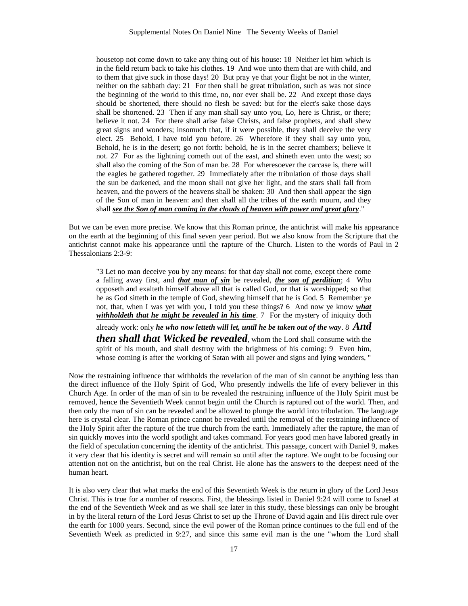housetop not come down to take any thing out of his house: 18 Neither let him which is in the field return back to take his clothes. 19 And woe unto them that are with child, and to them that give suck in those days! 20 But pray ye that your flight be not in the winter, neither on the sabbath day: 21 For then shall be great tribulation, such as was not since the beginning of the world to this time, no, nor ever shall be. 22 And except those days should be shortened, there should no flesh be saved: but for the elect's sake those days shall be shortened. 23 Then if any man shall say unto you, Lo, here is Christ, or there; believe it not. 24 For there shall arise false Christs, and false prophets, and shall shew great signs and wonders; insomuch that, if it were possible, they shall deceive the very elect. 25 Behold, I have told you before. 26 Wherefore if they shall say unto you, Behold, he is in the desert; go not forth: behold, he is in the secret chambers; believe it not. 27 For as the lightning cometh out of the east, and shineth even unto the west; so shall also the coming of the Son of man be. 28 For wheresoever the carcase is, there will the eagles be gathered together. 29 Immediately after the tribulation of those days shall the sun be darkened, and the moon shall not give her light, and the stars shall fall from heaven, and the powers of the heavens shall be shaken: 30 And then shall appear the sign of the Son of man in heaven: and then shall all the tribes of the earth mourn, and they shall *see the Son of man coming in the clouds of heaven with power and great glory*."

But we can be even more precise. We know that this Roman prince, the antichrist will make his appearance on the earth at the beginning of this final seven year period. But we also know from the Scripture that the antichrist cannot make his appearance until the rapture of the Church. Listen to the words of Paul in 2 Thessalonians 2:3-9:

"3 Let no man deceive you by any means: for that day shall not come, except there come a falling away first, and *that man of sin* be revealed, *the son of perdition*; 4 Who opposeth and exalteth himself above all that is called God, or that is worshipped; so that he as God sitteth in the temple of God, shewing himself that he is God. 5 Remember ye not, that, when I was yet with you, I told you these things? 6 And now ye know *what*  withholdeth that he might be revealed in his time. 7 For the mystery of iniquity doth

already work: only *he who now letteth will let, until he be taken out of the way*. 8 *And then shall that Wicked be revealed*, whom the Lord shall consume with the spirit of his mouth, and shall destroy with the brightness of his coming: 9 Even him, whose coming is after the working of Satan with all power and signs and lying wonders, "

Now the restraining influence that withholds the revelation of the man of sin cannot be anything less than the direct influence of the Holy Spirit of God, Who presently indwells the life of every believer in this Church Age. In order of the man of sin to be revealed the restraining influence of the Holy Spirit must be removed, hence the Seventieth Week cannot begin until the Church is raptured out of the world. Then, and then only the man of sin can be revealed and be allowed to plunge the world into tribulation. The language here is crystal clear. The Roman prince cannot be revealed until the removal of the restraining influence of the Holy Spirit after the rapture of the true church from the earth. Immediately after the rapture, the man of sin quickly moves into the world spotlight and takes command. For years good men have labored greatly in the field of speculation concerning the identity of the antichrist. This passage, concert with Daniel 9, makes it very clear that his identity is secret and will remain so until after the rapture. We ought to be focusing our attention not on the antichrist, but on the real Christ. He alone has the answers to the deepest need of the human heart.

It is also very clear that what marks the end of this Seventieth Week is the return in glory of the Lord Jesus Christ. This is true for a number of reasons. First, the blessings listed in Daniel 9:24 will come to Israel at the end of the Seventieth Week and as we shall see later in this study, these blessings can only be brought in by the literal return of the Lord Jesus Christ to set up the Throne of David again and His direct rule over the earth for 1000 years. Second, since the evil power of the Roman prince continues to the full end of the Seventieth Week as predicted in 9:27, and since this same evil man is the one "whom the Lord shall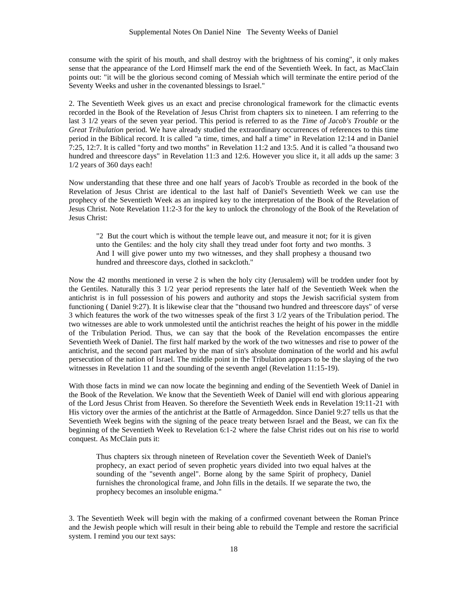consume with the spirit of his mouth, and shall destroy with the brightness of his coming", it only makes sense that the appearance of the Lord Himself mark the end of the Seventieth Week. In fact, as MacClain points out: "it will be the glorious second coming of Messiah which will terminate the entire period of the Seventy Weeks and usher in the covenanted blessings to Israel."

2. The Seventieth Week gives us an exact and precise chronological framework for the climactic events recorded in the Book of the Revelation of Jesus Christ from chapters six to nineteen. I am referring to the last 3 1/2 years of the seven year period. This period is referred to as the *Time of Jacob's Trouble* or the *Great Tribulation* period. We have already studied the extraordinary occurrences of references to this time period in the Biblical record. It is called "a time, times, and half a time" in Revelation 12:14 and in Daniel 7:25, 12:7. It is called "forty and two months" in Revelation 11:2 and 13:5. And it is called "a thousand two hundred and threescore days" in Revelation 11:3 and 12:6. However you slice it, it all adds up the same: 3 1/2 years of 360 days each!

Now understanding that these three and one half years of Jacob's Trouble as recorded in the book of the Revelation of Jesus Christ are identical to the last half of Daniel's Seventieth Week we can use the prophecy of the Seventieth Week as an inspired key to the interpretation of the Book of the Revelation of Jesus Christ. Note Revelation 11:2-3 for the key to unlock the chronology of the Book of the Revelation of Jesus Christ:

"2 But the court which is without the temple leave out, and measure it not; for it is given unto the Gentiles: and the holy city shall they tread under foot forty and two months. 3 And I will give power unto my two witnesses, and they shall prophesy a thousand two hundred and threescore days, clothed in sackcloth."

Now the 42 months mentioned in verse 2 is when the holy city (Jerusalem) will be trodden under foot by the Gentiles. Naturally this 3 1/2 year period represents the later half of the Seventieth Week when the antichrist is in full possession of his powers and authority and stops the Jewish sacrificial system from functioning ( Daniel 9:27). It is likewise clear that the "thousand two hundred and threescore days" of verse 3 which features the work of the two witnesses speak of the first 3 1/2 years of the Tribulation period. The two witnesses are able to work unmolested until the antichrist reaches the height of his power in the middle of the Tribulation Period. Thus, we can say that the book of the Revelation encompasses the entire Seventieth Week of Daniel. The first half marked by the work of the two witnesses and rise to power of the antichrist, and the second part marked by the man of sin's absolute domination of the world and his awful persecution of the nation of Israel. The middle point in the Tribulation appears to be the slaying of the two witnesses in Revelation 11 and the sounding of the seventh angel (Revelation 11:15-19).

With those facts in mind we can now locate the beginning and ending of the Seventieth Week of Daniel in the Book of the Revelation. We know that the Seventieth Week of Daniel will end with glorious appearing of the Lord Jesus Christ from Heaven. So therefore the Seventieth Week ends in Revelation 19:11-21 with His victory over the armies of the antichrist at the Battle of Armageddon. Since Daniel 9:27 tells us that the Seventieth Week begins with the signing of the peace treaty between Israel and the Beast, we can fix the beginning of the Seventieth Week to Revelation 6:1-2 where the false Christ rides out on his rise to world conquest. As McClain puts it:

Thus chapters six through nineteen of Revelation cover the Seventieth Week of Daniel's prophecy, an exact period of seven prophetic years divided into two equal halves at the sounding of the "seventh angel". Borne along by the same Spirit of prophecy, Daniel furnishes the chronological frame, and John fills in the details. If we separate the two, the prophecy becomes an insoluble enigma."

3. The Seventieth Week will begin with the making of a confirmed covenant between the Roman Prince and the Jewish people which will result in their being able to rebuild the Temple and restore the sacrificial system. I remind you our text says: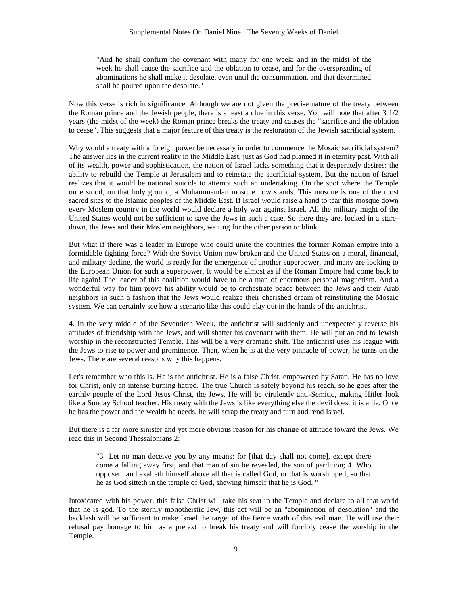"And he shall confirm the covenant with many for one week: and in the midst of the week he shall cause the sacrifice and the oblation to cease, and for the overspreading of abominations he shall make it desolate, even until the consummation, and that determined shall be poured upon the desolate."

Now this verse is rich in significance. Although we are not given the precise nature of the treaty between the Roman prince and the Jewish people, there is a least a clue in this verse. You will note that after 3 1/2 years (the midst of the week) the Roman prince breaks the treaty and causes the "sacrifice and the oblation to cease". This suggests that a major feature of this treaty is the restoration of the Jewish sacrificial system.

Why would a treaty with a foreign power be necessary in order to commence the Mosaic sacrificial system? The answer lies in the current reality in the Middle East, just as God had planned it in eternity past. With all of its wealth, power and sophistication, the nation of Israel lacks something that it desperately desires: the ability to rebuild the Temple at Jerusalem and to reinstate the sacrificial system. But the nation of Israel realizes that it would be national suicide to attempt such an undertaking. On the spot where the Temple once stood, on that holy ground, a Mohammendan mosque now stands. This mosque is one of the most sacred sites to the Islamic peoples of the Middle East. If Israel would raise a hand to tear this mosque down every Moslem country in the world would declare a holy war against Israel. All the military might of the United States would not be sufficient to save the Jews in such a case. So there they are, locked in a staredown, the Jews and their Moslem neighbors, waiting for the other person to blink.

But what if there was a leader in Europe who could unite the countries the former Roman empire into a formidable fighting force? With the Soviet Union now broken and the United States on a moral, financial, and military decline, the world is ready for the emergence of another superpower, and many are looking to the European Union for such a superpower. It would be almost as if the Roman Empire had come back to life again! The leader of this coalition would have to be a man of enormous personal magnetism. And a wonderful way for him prove his ability would be to orchestrate peace between the Jews and their Arab neighbors in such a fashion that the Jews would realize their cherished dream of reinstituting the Mosaic system. We can certainly see how a scenario like this could play out in the hands of the antichrist.

4. In the very middle of the Seventieth Week, the antichrist will suddenly and unexpectedly reverse his attitudes of friendship with the Jews, and will shatter his covenant with them. He will put an end to Jewish worship in the reconstructed Temple. This will be a very dramatic shift. The antichrist uses his league with the Jews to rise to power and prominence. Then, when he is at the very pinnacle of power, he turns on the Jews. There are several reasons why this happens.

Let's remember who this is. He is the antichrist. He is a false Christ, empowered by Satan. He has no love for Christ, only an intense burning hatred. The true Church is safely beyond his reach, so he goes after the earthly people of the Lord Jesus Christ, the Jews. He will be virulently anti-Semitic, making Hitler look like a Sunday School teacher. His treaty with the Jews is like everything else the devil does: it is a lie. Once he has the power and the wealth he needs, he will scrap the treaty and turn and rend Israel.

But there is a far more sinister and yet more obvious reason for his change of attitude toward the Jews. We read this in Second Thessalonians 2:

"3 Let no man deceive you by any means: for [that day shall not come], except there come a falling away first, and that man of sin be revealed, the son of perdition; 4 Who opposeth and exalteth himself above all that is called God, or that is worshipped; so that he as God sitteth in the temple of God, shewing himself that he is God. "

Intoxicated with his power, this false Christ will take his seat in the Temple and declare to all that world that he is god. To the sternly monotheistic Jew, this act will be an "abomination of desolation" and the backlash will be sufficient to make Israel the target of the fierce wrath of this evil man. He will use their refusal pay homage to him as a pretext to break his treaty and will forcibly cease the worship in the Temple.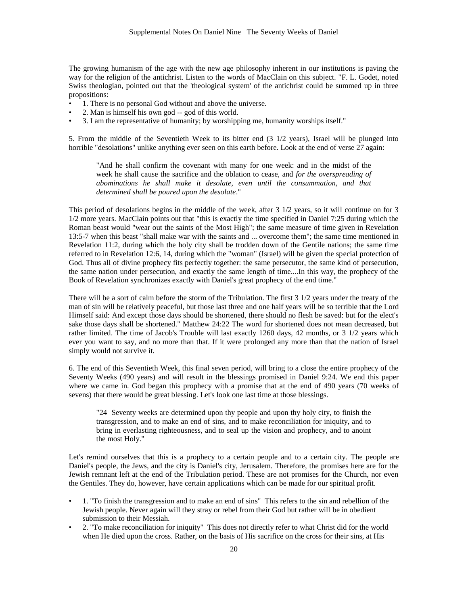The growing humanism of the age with the new age philosophy inherent in our institutions is paving the way for the religion of the antichrist. Listen to the words of MacClain on this subject. "F. L. Godet, noted Swiss theologian, pointed out that the 'theological system' of the antichrist could be summed up in three propositions:

- 1. There is no personal God without and above the universe.
- 2. Man is himself his own god -- god of this world.
- 3. I am the representative of humanity; by worshipping me, humanity worships itself."

5. From the middle of the Seventieth Week to its bitter end (3 1/2 years), Israel will be plunged into horrible "desolations" unlike anything ever seen on this earth before. Look at the end of verse 27 again:

"And he shall confirm the covenant with many for one week: and in the midst of the week he shall cause the sacrifice and the oblation to cease, and *for the overspreading of abominations he shall make it desolate, even until the consummation, and that determined shall be poured upon the desolate*."

This period of desolations begins in the middle of the week, after 3 1/2 years, so it will continue on for 3 1/2 more years. MacClain points out that "this is exactly the time specified in Daniel 7:25 during which the Roman beast would "wear out the saints of the Most High"; the same measure of time given in Revelation 13:5-7 when this beast "shall make war with the saints and ... overcome them"; the same time mentioned in Revelation 11:2, during which the holy city shall be trodden down of the Gentile nations; the same time referred to in Revelation 12:6, 14, during which the "woman" (Israel) will be given the special protection of God. Thus all of divine prophecy fits perfectly together: the same persecutor, the same kind of persecution, the same nation under persecution, and exactly the same length of time....In this way, the prophecy of the Book of Revelation synchronizes exactly with Daniel's great prophecy of the end time."

There will be a sort of calm before the storm of the Tribulation. The first 3 1/2 years under the treaty of the man of sin will be relatively peaceful, but those last three and one half years will be so terrible that the Lord Himself said: And except those days should be shortened, there should no flesh be saved: but for the elect's sake those days shall be shortened." Matthew 24:22 The word for shortened does not mean decreased, but rather limited. The time of Jacob's Trouble will last exactly 1260 days, 42 months, or 3 1/2 years which ever you want to say, and no more than that. If it were prolonged any more than that the nation of Israel simply would not survive it.

6. The end of this Seventieth Week, this final seven period, will bring to a close the entire prophecy of the Seventy Weeks (490 years) and will result in the blessings promised in Daniel 9:24. We end this paper where we came in. God began this prophecy with a promise that at the end of 490 years (70 weeks of sevens) that there would be great blessing. Let's look one last time at those blessings.

"24 Seventy weeks are determined upon thy people and upon thy holy city, to finish the transgression, and to make an end of sins, and to make reconciliation for iniquity, and to bring in everlasting righteousness, and to seal up the vision and prophecy, and to anoint the most Holy."

Let's remind ourselves that this is a prophecy to a certain people and to a certain city. The people are Daniel's people, the Jews, and the city is Daniel's city, Jerusalem. Therefore, the promises here are for the Jewish remnant left at the end of the Tribulation period. These are not promises for the Church, nor even the Gentiles. They do, however, have certain applications which can be made for our spiritual profit.

- 1. "To finish the transgression and to make an end of sins" This refers to the sin and rebellion of the Jewish people. Never again will they stray or rebel from their God but rather will be in obedient submission to their Messiah.
- 2. "To make reconciliation for iniquity" This does not directly refer to what Christ did for the world when He died upon the cross. Rather, on the basis of His sacrifice on the cross for their sins, at His